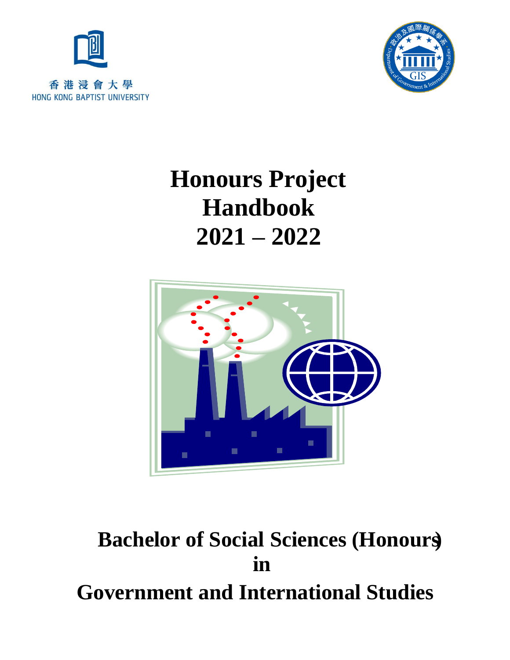



# **Honours Project Handbook 2021 – 2022**



# **Bachelor of Social Sciences (Honours) in Government and International Studies**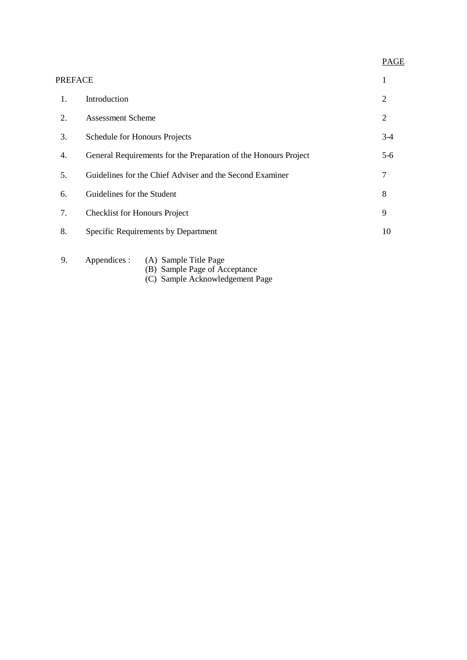## PAGE

| PREFACE |                                                                        | 1     |
|---------|------------------------------------------------------------------------|-------|
| 1.      | Introduction                                                           | 2     |
| 2.      | <b>Assessment Scheme</b>                                               | 2     |
| 3.      | Schedule for Honours Projects                                          | $3-4$ |
| 4.      | General Requirements for the Preparation of the Honours Project        | $5-6$ |
| 5.      | Guidelines for the Chief Adviser and the Second Examiner               | 7     |
| 6.      | Guidelines for the Student                                             | 8     |
| 7.      | <b>Checklist for Honours Project</b>                                   | 9     |
| 8.      | Specific Requirements by Department                                    | 10    |
| 9.      | Appendices :<br>(A) Sample Title Page<br>(B) Sample Page of Acceptance |       |

(C) Sample Acknowledgement Page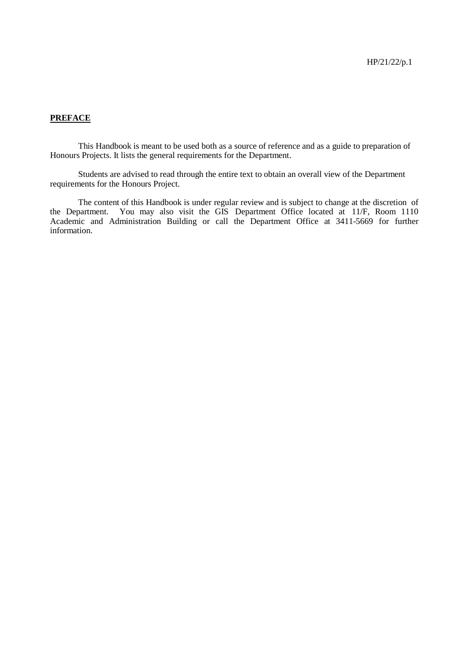### **PREFACE**

This Handbook is meant to be used both as a source of reference and as a guide to preparation of Honours Projects. It lists the general requirements for the Department.

Students are advised to read through the entire text to obtain an overall view of the Department requirements for the Honours Project.

The content of this Handbook is under regular review and is subject to change at the discretion of the Department. You may also visit the GIS Department Office located at 11/F, Room 1110 Academic and Administration Building or call the Department Office at 3411-5669 for further information.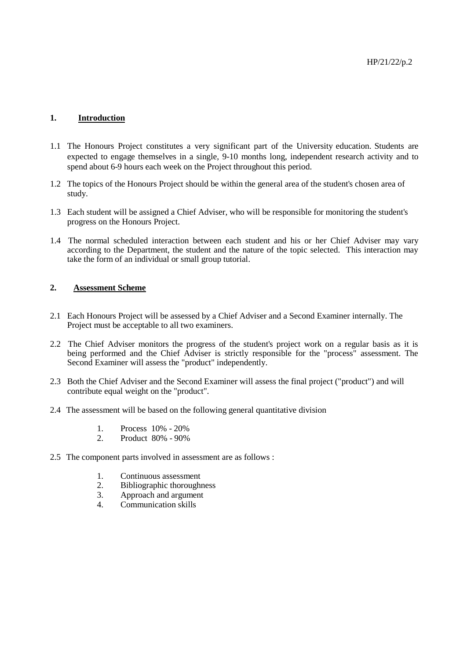#### **1. Introduction**

- 1.1 The Honours Project constitutes a very significant part of the University education. Students are expected to engage themselves in a single, 9-10 months long, independent research activity and to spend about 6-9 hours each week on the Project throughout this period.
- 1.2 The topics of the Honours Project should be within the general area of the student's chosen area of study.
- 1.3 Each student will be assigned a Chief Adviser, who will be responsible for monitoring the student's progress on the Honours Project.
- 1.4 The normal scheduled interaction between each student and his or her Chief Adviser may vary according to the Department, the student and the nature of the topic selected. This interaction may take the form of an individual or small group tutorial.

#### $2.$ **2. Assessment Scheme**

- 2.1 Each Honours Project will be assessed by a Chief Adviser and a Second Examiner internally. The Project must be acceptable to all two examiners.
- 2.2 The Chief Adviser monitors the progress of the student's project work on a regular basis as it is being performed and the Chief Adviser is strictly responsible for the "process" assessment. The Second Examiner will assess the "product" independently.
- 2.3 Both the Chief Adviser and the Second Examiner will assess the final project ("product") and will contribute equal weight on the "product".
- 2.4 The assessment will be based on the following general quantitative division
	- 1. Process 10% 20%
	- 2. Product 80% 90%
- 2.5 The component parts involved in assessment are as follows :
	- 1. Continuous assessment
	- 2. Bibliographic thoroughness<br>3. Approach and argument
	- Approach and argument
	- 4. Communication skills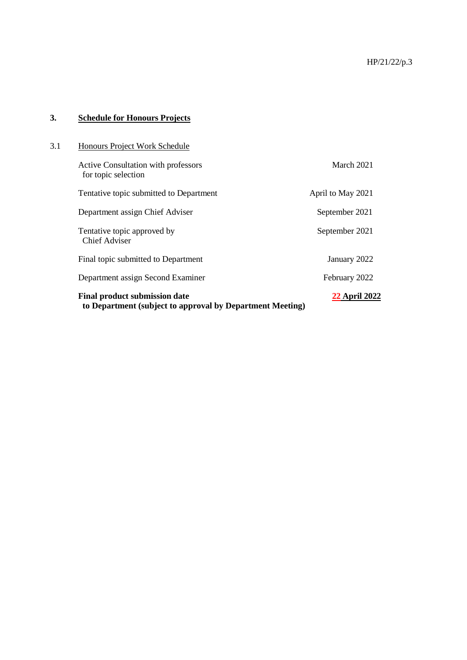### **3. Schedule for Honours Projects**

| 3.1 | Honours Project Work Schedule                                                                     |                      |  |
|-----|---------------------------------------------------------------------------------------------------|----------------------|--|
|     | <b>Active Consultation with professors</b><br>for topic selection                                 | March 2021           |  |
|     | Tentative topic submitted to Department                                                           | April to May 2021    |  |
|     | Department assign Chief Adviser                                                                   | September 2021       |  |
|     | Tentative topic approved by<br>Chief Adviser                                                      | September 2021       |  |
|     | Final topic submitted to Department                                                               | January 2022         |  |
|     | Department assign Second Examiner                                                                 | February 2022        |  |
|     | <b>Final product submission date</b><br>to Department (subject to approval by Department Meeting) | <b>22 April 2022</b> |  |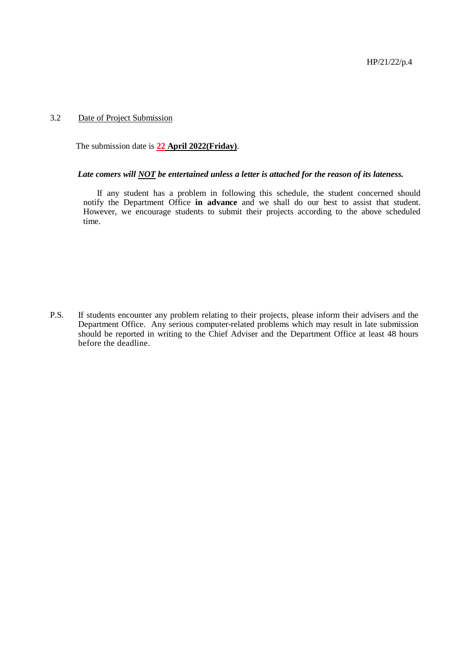#### 3.2 Date of Project Submission

The submission date is **22 April 2022(Friday)**.

#### *Late comers will NOT be entertained unless a letter is attached for the reason of its lateness.*

If any student has a problem in following this schedule, the student concerned should notify the Department Office **in advance** and we shall do our best to assist that student. However, we encourage students to submit their projects according to the above scheduled time.

P.S. If students encounter any problem relating to their projects, please inform their advisers and the Department Office. Any serious computer-related problems which may result in late submission should be reported in writing to the Chief Adviser and the Department Office at least 48 hours before the deadline.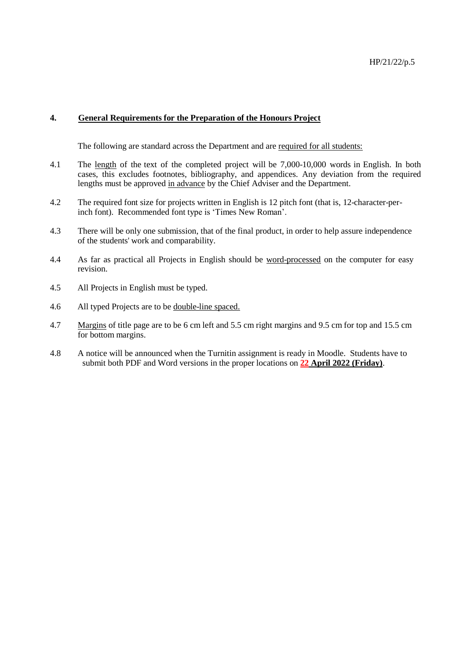#### **4. General Requirements for the Preparation of the Honours Project**

The following are standard across the Department and are required for all students:

- 4.1 The length of the text of the completed project will be 7,000-10,000 words in English. In both cases, this excludes footnotes, bibliography, and appendices. Any deviation from the required lengths must be approved in advance by the Chief Adviser and the Department.
- 4.2 The required font size for projects written in English is 12 pitch font (that is, 12-character-perinch font). Recommended font type is 'Times New Roman'.
- 4.3 There will be only one submission, that of the final product, in order to help assure independence of the students' work and comparability.
- 4.4 As far as practical all Projects in English should be word-processed on the computer for easy revision.
- 4.5 All Projects in English must be typed.
- 4.6 All typed Projects are to be double-line spaced.
- 4.7 Margins of title page are to be 6 cm left and 5.5 cm right margins and 9.5 cm for top and 15.5 cm for bottom margins.
- 4.8 A notice will be announced when the Turnitin assignment is ready in Moodle. Students have to submit both PDF and Word versions in the proper locations on **22 April 2022 (Friday)**.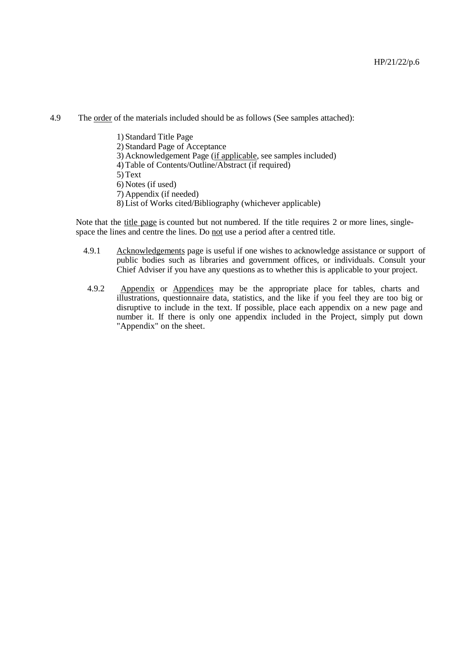4.9 The order of the materials included should be as follows (See samples attached):

1) Standard Title Page 2) Standard Page of Acceptance 3) Acknowledgement Page (if applicable, see samples included) 4) Table of Contents/Outline/Abstract (if required) 5) Text 6) Notes (if used) 7) Appendix (if needed) 8) List of Works cited/Bibliography (whichever applicable)

Note that the title page is counted but not numbered. If the title requires 2 or more lines, singlespace the lines and centre the lines. Do not use a period after a centred title.

- 4.9.1 Acknowledgements page is useful if one wishes to acknowledge assistance or support of public bodies such as libraries and government offices, or individuals. Consult your Chief Adviser if you have any questions as to whether this is applicable to your project.
- 4.9.2 Appendix or Appendices may be the appropriate place for tables, charts and illustrations, questionnaire data, statistics, and the like if you feel they are too big or disruptive to include in the text. If possible, place each appendix on a new page and number it. If there is only one appendix included in the Project, simply put down "Appendix" on the sheet.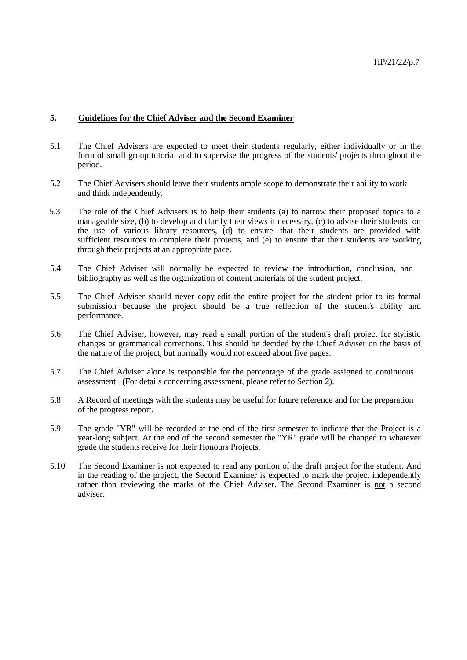#### **5. Guidelines for the Chief Adviser and the Second Examiner**

- 5.1 The Chief Advisers are expected to meet their students regularly, either individually or in the form of small group tutorial and to supervise the progress of the students' projects throughout the period.
- 5.2 The Chief Advisers should leave their students ample scope to demonstrate their ability to work and think independently.
- 5.3 The role of the Chief Advisers is to help their students (a) to narrow their proposed topics to a manageable size, (b) to develop and clarify their views if necessary, (c) to advise their students on the use of various library resources, (d) to ensure that their students are provided with sufficient resources to complete their projects, and (e) to ensure that their students are working through their projects at an appropriate pace.
- 5.4 The Chief Adviser will normally be expected to review the introduction, conclusion, and bibliography as well as the organization of content materials of the student project.
- 5.5 The Chief Adviser should never copy-edit the entire project for the student prior to its formal submission because the project should be a true reflection of the student's ability and performance.
- 5.6 The Chief Adviser, however, may read a small portion of the student's draft project for stylistic changes or grammatical corrections. This should be decided by the Chief Adviser on the basis of the nature of the project, but normally would not exceed about five pages.
- 5.7 The Chief Adviser alone is responsible for the percentage of the grade assigned to continuous assessment. (For details concerning assessment, please refer to Section 2).
- 5.8 A Record of meetings with the students may be useful for future reference and for the preparation of the progress report.
- 5.9 The grade "YR" will be recorded at the end of the first semester to indicate that the Project is a year-long subject. At the end of the second semester the "YR" grade will be changed to whatever grade the students receive for their Honours Projects.
- 5.10 The Second Examiner is not expected to read any portion of the draft project for the student. And in the reading of the project, the Second Examiner is expected to mark the project independently rather than reviewing the marks of the Chief Adviser. The Second Examiner is not a second adviser.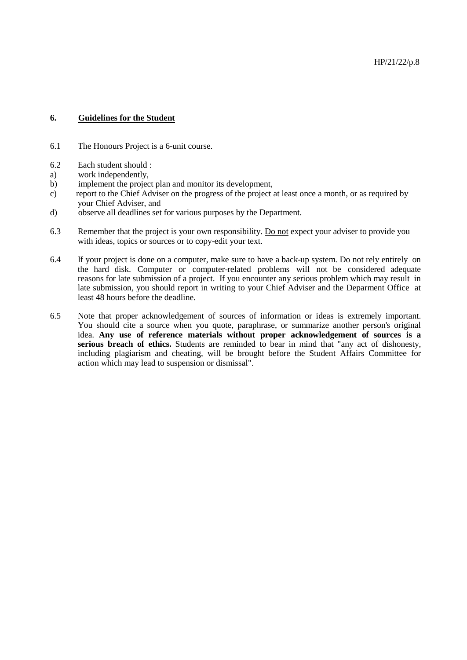#### **6. Guidelines for the Student**

- 6.1 The Honours Project is a 6-unit course.
- 6.2 Each student should :
- a) work independently,
- b) implement the project plan and monitor its development,
- c) report to the Chief Adviser on the progress of the project at least once a month, or as required by your Chief Adviser, and
- d) observe all deadlines set for various purposes by the Department.
- 6.3 Remember that the project is your own responsibility. Do not expect your adviser to provide you with ideas, topics or sources or to copy-edit your text.
- 6.4 If your project is done on a computer, make sure to have a back-up system. Do not rely entirely on the hard disk. Computer or computer-related problems will not be considered adequate reasons for late submission of a project. If you encounter any serious problem which may result in late submission, you should report in writing to your Chief Adviser and the Deparment Office at least 48 hours before the deadline.
- 6.5 Note that proper acknowledgement of sources of information or ideas is extremely important. You should cite a source when you quote, paraphrase, or summarize another person's original idea. **Any use of reference materials without proper acknowledgement of sources is a serious breach of ethics.** Students are reminded to bear in mind that "any act of dishonesty, including plagiarism and cheating, will be brought before the Student Affairs Committee for action which may lead to suspension or dismissal".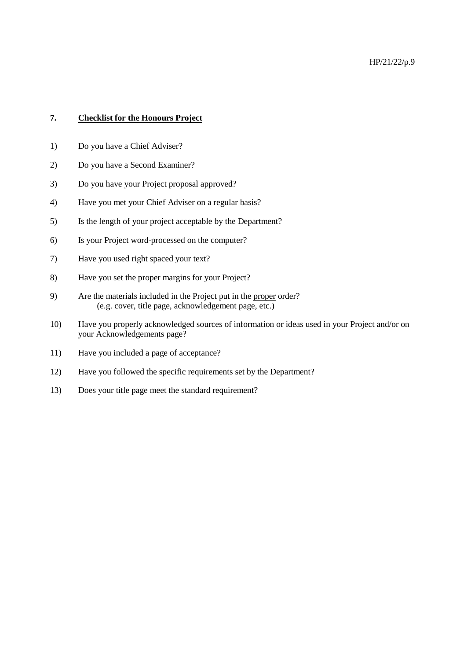#### **7. Checklist for the Honours Project**

- 1) Do you have a Chief Adviser?
- 2) Do you have a Second Examiner?
- 3) Do you have your Project proposal approved?
- 4) Have you met your Chief Adviser on a regular basis?
- 5) Is the length of your project acceptable by the Department?
- 6) Is your Project word-processed on the computer?
- 7) Have you used right spaced your text?
- 8) Have you set the proper margins for your Project?
- 9) Are the materials included in the Project put in the proper order? (e.g. cover, title page, acknowledgement page, etc.)
- 10) Have you properly acknowledged sources of information or ideas used in your Project and/or on your Acknowledgements page?
- 11) Have you included a page of acceptance?
- 12) Have you followed the specific requirements set by the Department?
- 13) Does your title page meet the standard requirement?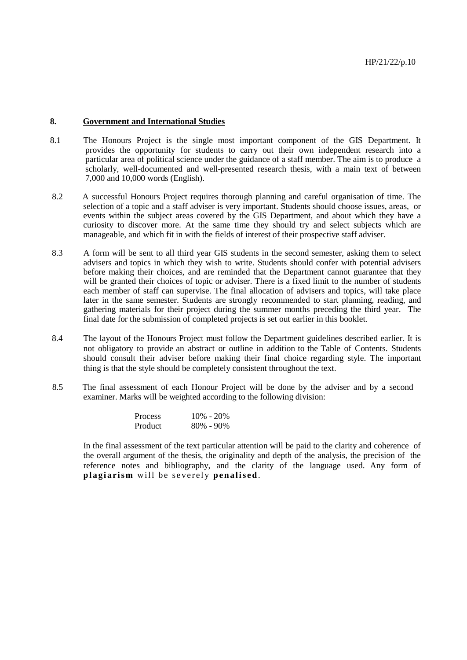#### **8. Government and International Studies**

- 8.1 The Honours Project is the single most important component of the GIS Department. It provides the opportunity for students to carry out their own independent research into a particular area of political science under the guidance of a staff member. The aim is to produce a scholarly, well-documented and well-presented research thesis, with a main text of between 7,000 and 10,000 words (English).
- 8.2 A successful Honours Project requires thorough planning and careful organisation of time. The selection of a topic and a staff adviser is very important. Students should choose issues, areas, or events within the subject areas covered by the GIS Department, and about which they have a curiosity to discover more. At the same time they should try and select subjects which are manageable, and which fit in with the fields of interest of their prospective staff adviser.
- 8.3 A form will be sent to all third year GIS students in the second semester, asking them to select advisers and topics in which they wish to write. Students should confer with potential advisers before making their choices, and are reminded that the Department cannot guarantee that they will be granted their choices of topic or adviser. There is a fixed limit to the number of students each member of staff can supervise. The final allocation of advisers and topics, will take place later in the same semester. Students are strongly recommended to start planning, reading, and gathering materials for their project during the summer months preceding the third year. The final date for the submission of completed projects is set out earlier in this booklet.
- 8.4 The layout of the Honours Project must follow the Department guidelines described earlier. It is not obligatory to provide an abstract or outline in addition to the Table of Contents. Students should consult their adviser before making their final choice regarding style. The important thing is that the style should be completely consistent throughout the text.
- 8.5 The final assessment of each Honour Project will be done by the adviser and by a second examiner. Marks will be weighted according to the following division:

| <b>Process</b> | $10\% - 20\%$ |
|----------------|---------------|
| Product        | $80\% - 90\%$ |

In the final assessment of the text particular attention will be paid to the clarity and coherence of the overall argument of the thesis, the originality and depth of the analysis, the precision of the reference notes and bibliography, and the clarity of the language used. Any form of **plagiarism** will be severely **penalised**.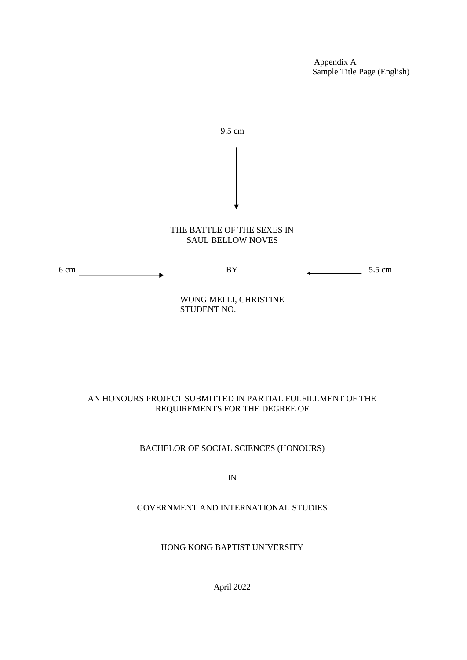Appendix A Sample Title Page (English)



### AN HONOURS PROJECT SUBMITTED IN PARTIAL FULFILLMENT OF THE REQUIREMENTS FOR THE DEGREE OF

#### BACHELOR OF SOCIAL SCIENCES (HONOURS)

IN

### GOVERNMENT AND INTERNATIONAL STUDIES

#### HONG KONG BAPTIST UNIVERSITY

April 2022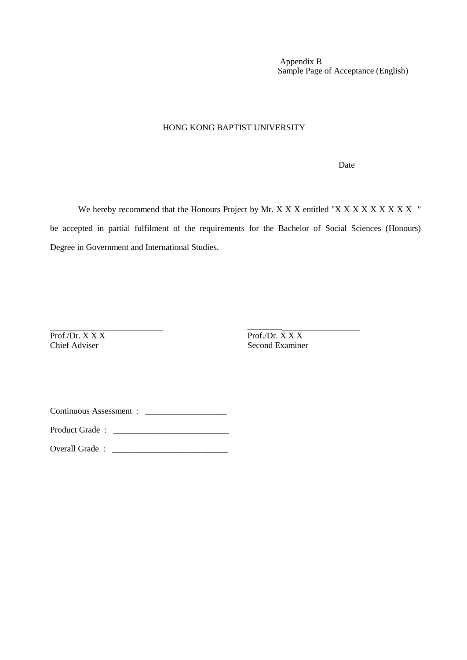Appendix B Sample Page of Acceptance (English)

#### HONG KONG BAPTIST UNIVERSITY

Date

We hereby recommend that the Honours Project by Mr. X X X antitled "X X X X X X X X X X " be accepted in partial fulfilment of the requirements for the Bachelor of Social Sciences (Honours) Degree in Government and International Studies.

Prof./Dr. X X X<br>
Prof./Dr. X X X<br>
Chief Adviser<br>
Second Examine

Second Examiner

\_\_\_\_\_\_\_\_

Continuous Assessment :

Product Grade : \_\_\_\_\_\_\_\_\_\_\_\_\_\_\_\_\_\_\_\_\_\_\_\_\_\_\_

Overall Grade : \_\_\_\_\_\_\_\_\_\_\_\_\_\_\_\_\_\_\_\_\_\_\_\_\_\_\_